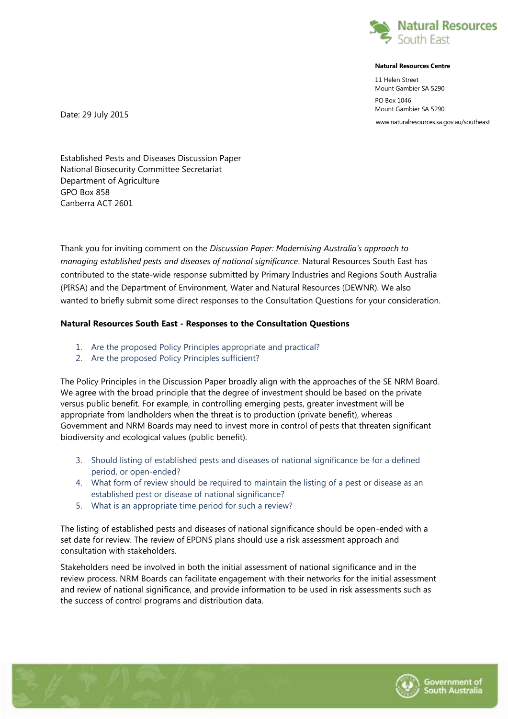

## **Natural Resources Centre**

11 Helen Street Mount Gambier SA 5290

PO Box 1046 Mount Gambier SA 5290

www.naturalresources.sa.gov.au/southeast

Date: 29 July 2015

Established Pests and Diseases Discussion Paper National Biosecurity Committee Secretariat Department of Agriculture GPO Box 858 Canberra ACT 2601

Thank you for inviting comment on the *Discussion Paper: Modernising Australia's approach to managing established pests and diseases of national significance*. Natural Resources South East has contributed to the state-wide response submitted by Primary Industries and Regions South Australia (PIRSA) and the Department of Environment, Water and Natural Resources (DEWNR). We also wanted to briefly submit some direct responses to the Consultation Questions for your consideration.

## **Natural Resources South East - Responses to the Consultation Questions**

- 1. Are the proposed Policy Principles appropriate and practical?
- 2. Are the proposed Policy Principles sufficient?

The Policy Principles in the Discussion Paper broadly align with the approaches of the SE NRM Board. We agree with the broad principle that the degree of investment should be based on the private versus public benefit. For example, in controlling emerging pests, greater investment will be appropriate from landholders when the threat is to production (private benefit), whereas Government and NRM Boards may need to invest more in control of pests that threaten significant biodiversity and ecological values (public benefit).

- 3. Should listing of established pests and diseases of national significance be for a defined period, or open-ended?
- 4. What form of review should be required to maintain the listing of a pest or disease as an established pest or disease of national significance?
- 5. What is an appropriate time period for such a review?

The listing of established pests and diseases of national significance should be open-ended with a set date for review. The review of EPDNS plans should use a risk assessment approach and consultation with stakeholders.

Stakeholders need be involved in both the initial assessment of national significance and in the review process. NRM Boards can facilitate engagement with their networks for the initial assessment and review of national significance, and provide information to be used in risk assessments such as the success of control programs and distribution data.